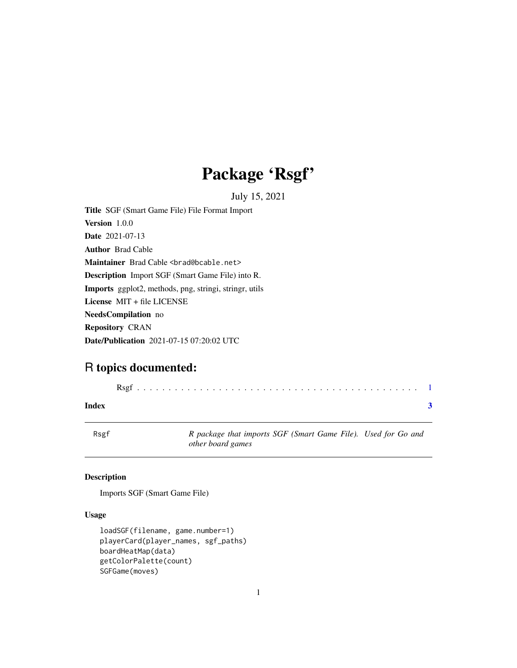## Package 'Rsgf'

July 15, 2021

<span id="page-0-0"></span>Title SGF (Smart Game File) File Format Import Version 1.0.0 Date 2021-07-13 Author Brad Cable Maintainer Brad Cable <br ad@bcable.net> Description Import SGF (Smart Game File) into R. Imports ggplot2, methods, png, stringi, stringr, utils License MIT + file LICENSE NeedsCompilation no Repository CRAN Date/Publication 2021-07-15 07:20:02 UTC

### R topics documented:

|--|--|--|--|--|--|--|--|--|--|--|--|--|--|--|--|--|--|--|--|--|--|--|--|--|--|--|--|--|--|--|--|--|--|--|--|--|--|--|--|--|--|--|

#### **Index** [3](#page-2-0)

Rsgf *R package that imports SGF (Smart Game File). Used for Go and other board games*

#### Description

Imports SGF (Smart Game File)

#### Usage

```
loadSGF(filename, game.number=1)
playerCard(player_names, sgf_paths)
boardHeatMap(data)
getColorPalette(count)
SGFGame(moves)
```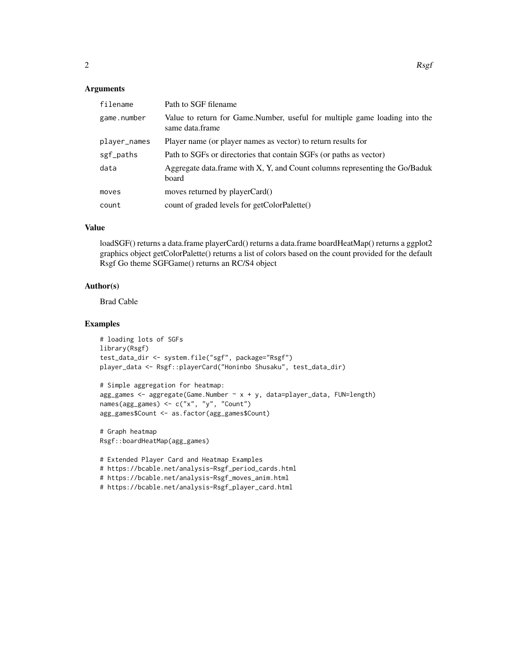#### Arguments

| filename     | Path to SGF filename                                                                          |
|--------------|-----------------------------------------------------------------------------------------------|
| game.number  | Value to return for Game.Number, useful for multiple game loading into the<br>same data.frame |
| player_names | Player name (or player names as vector) to return results for                                 |
| sgf_paths    | Path to SGFs or directories that contain SGFs (or paths as vector)                            |
| data         | Aggregate data.frame with X, Y, and Count columns representing the Go/Baduk<br>board          |
| moves        | moves returned by playerCard()                                                                |
| count        | count of graded levels for getColorPalette()                                                  |

#### Value

loadSGF() returns a data.frame playerCard() returns a data.frame boardHeatMap() returns a ggplot2 graphics object getColorPalette() returns a list of colors based on the count provided for the default Rsgf Go theme SGFGame() returns an RC/S4 object

#### Author(s)

Brad Cable

#### Examples

```
# loading lots of SGFs
library(Rsgf)
test_data_dir <- system.file("sgf", package="Rsgf")
player_data <- Rsgf::playerCard("Honinbo Shusaku", test_data_dir)
```

```
# Simple aggregation for heatmap:
agg\_games < - aggregate(Game.Number ~ x + y, data=player\_data, Flow=length)names(agg_games) <- c("x", "y", "Count")
agg_games$Count <- as.factor(agg_games$Count)
```

```
# Graph heatmap
Rsgf::boardHeatMap(agg_games)
```

```
# Extended Player Card and Heatmap Examples
# https://bcable.net/analysis-Rsgf_period_cards.html
# https://bcable.net/analysis-Rsgf_moves_anim.html
# https://bcable.net/analysis-Rsgf_player_card.html
```